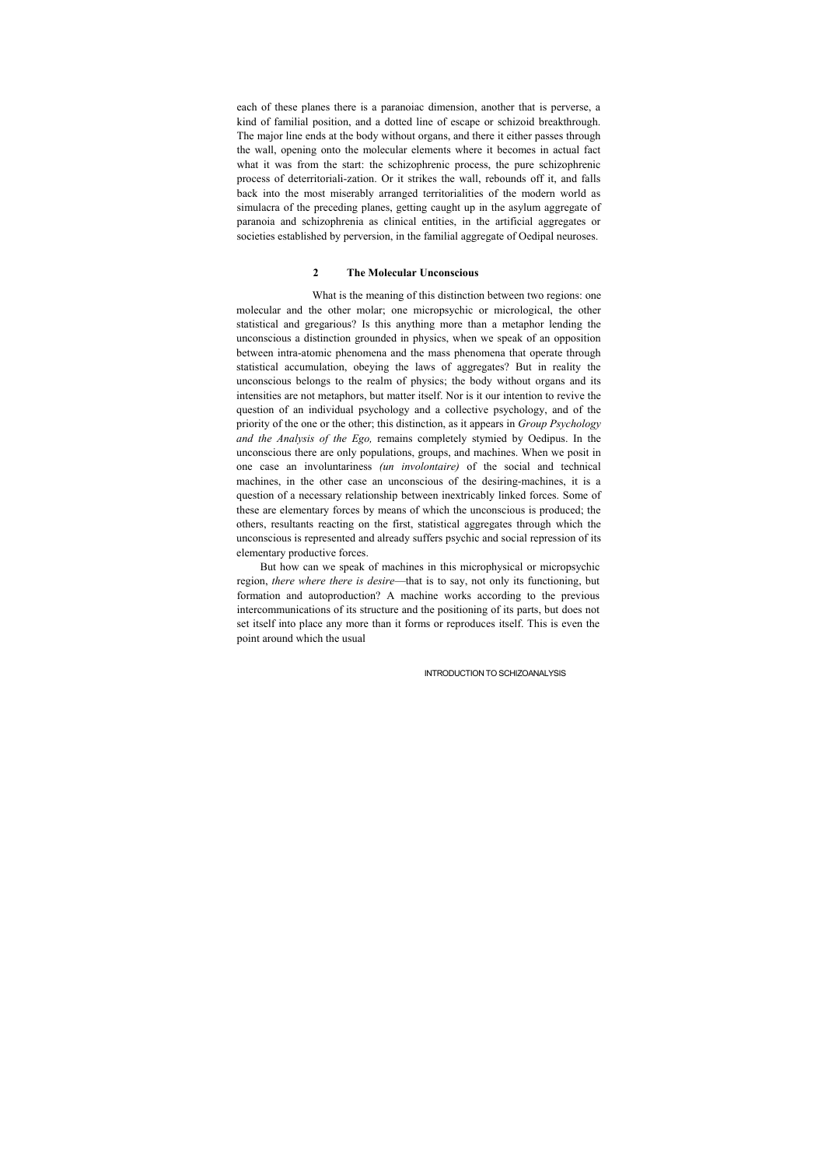each of these planes there is a paranoiac dimension, another that is perverse, a kind of familial position, and a dotted line of escape or schizoid breakthrough. The major line ends at the body without organs, and there it either passes through the wall, opening onto the molecular elements where it becomes in actual fact what it was from the start: the schizophrenic process, the pure schizophrenic process of deterritoriali-zation. Or it strikes the wall, rebounds off it, and falls back into the most miserably arranged territorialities of the modern world as simulacra of the preceding planes, getting caught up in the asylum aggregate of paranoia and schizophrenia as clinical entities, in the artificial aggregates or societies established by perversion, in the familial aggregate of Oedipal neuroses.

## **2 The Molecular Unconscious**

What is the meaning of this distinction between two regions: one molecular and the other molar; one micropsychic or micrological, the other statistical and gregarious? Is this anything more than a metaphor lending the unconscious a distinction grounded in physics, when we speak of an opposition between intra-atomic phenomena and the mass phenomena that operate through statistical accumulation, obeying the laws of aggregates? But in reality the unconscious belongs to the realm of physics; the body without organs and its intensities are not metaphors, but matter itself. Nor is it our intention to revive the question of an individual psychology and a collective psychology, and of the priority of the one or the other; this distinction, as it appears in *Group Psychology and the Analysis of the Ego,* remains completely stymied by Oedipus. In the unconscious there are only populations, groups, and machines. When we posit in one case an involuntariness *(un involontaire)* of the social and technical machines, in the other case an unconscious of the desiring-machines, it is a question of a necessary relationship between inextricably linked forces. Some of these are elementary forces by means of which the unconscious is produced; the others, resultants reacting on the first, statistical aggregates through which the unconscious is represented and already suffers psychic and social repression of its elementary productive forces.

But how can we speak of machines in this microphysical or micropsychic region, *there where there is desire*—that is to say, not only its functioning, but formation and autoproduction? A machine works according to the previous intercommunications of its structure and the positioning of its parts, but does not set itself into place any more than it forms or reproduces itself. This is even the point around which the usual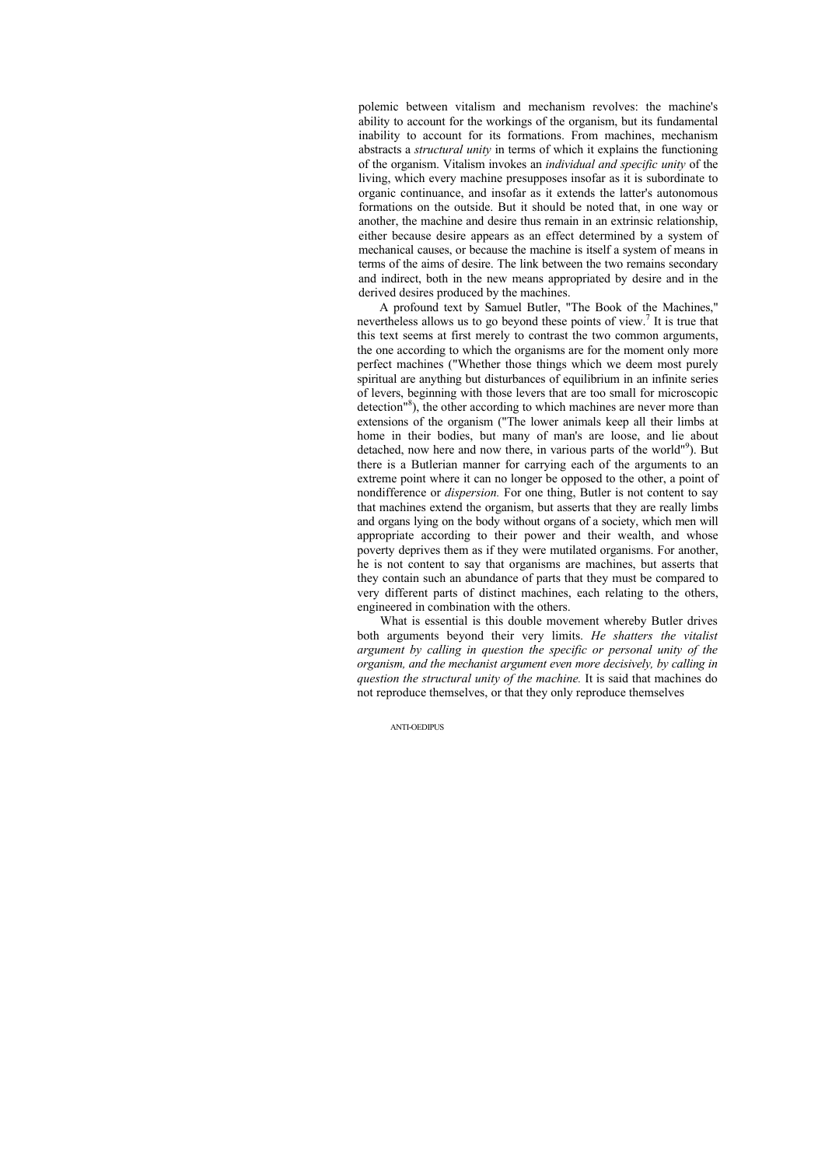polemic between vitalism and mechanism revolves: the machine's ability to account for the workings of the organism, but its fundamental inability to account for its formations. From machines, mechanism abstracts a *structural unity* in terms of which it explains the functioning of the organism. Vitalism invokes an *individual and specific unity* of the living, which every machine presupposes insofar as it is subordinate to organic continuance, and insofar as it extends the latter's autonomous formations on the outside. But it should be noted that, in one way or another, the machine and desire thus remain in an extrinsic relationship, either because desire appears as an effect determined by a system of mechanical causes, or because the machine is itself a system of means in terms of the aims of desire. The link between the two remains secondary and indirect, both in the new means appropriated by desire and in the derived desires produced by the machines.

A profound text by Samuel Butler, "The Book of the Machines," nevertheless allows us to go beyond these points of view.<sup>7</sup> It is true that this text seems at first merely to contrast the two common arguments, the one according to which the organisms are for the moment only more perfect machines ("Whether those things which we deem most purely spiritual are anything but disturbances of equilibrium in an infinite series of levers, beginning with those levers that are too small for microscopic detection"<sup>8</sup>), the other according to which machines are never more than extensions of the organism ("The lower animals keep all their limbs at home in their bodies, but many of man's are loose, and lie about detached, now here and now there, in various parts of the world"<sup>9</sup>). But there is a Butlerian manner for carrying each of the arguments to an extreme point where it can no longer be opposed to the other, a point of nondifference or *dispersion.* For one thing, Butler is not content to say that machines extend the organism, but asserts that they are really limbs and organs lying on the body without organs of a society, which men will appropriate according to their power and their wealth, and whose poverty deprives them as if they were mutilated organisms. For another, he is not content to say that organisms are machines, but asserts that they contain such an abundance of parts that they must be compared to very different parts of distinct machines, each relating to the others, engineered in combination with the others.

What is essential is this double movement whereby Butler drives both arguments beyond their very limits. *He shatters the vitalist argument by calling in question the specific or personal unity of the organism, and the mechanist argument even more decisively, by calling in question the structural unity of the machine.* It is said that machines do not reproduce themselves, or that they only reproduce themselves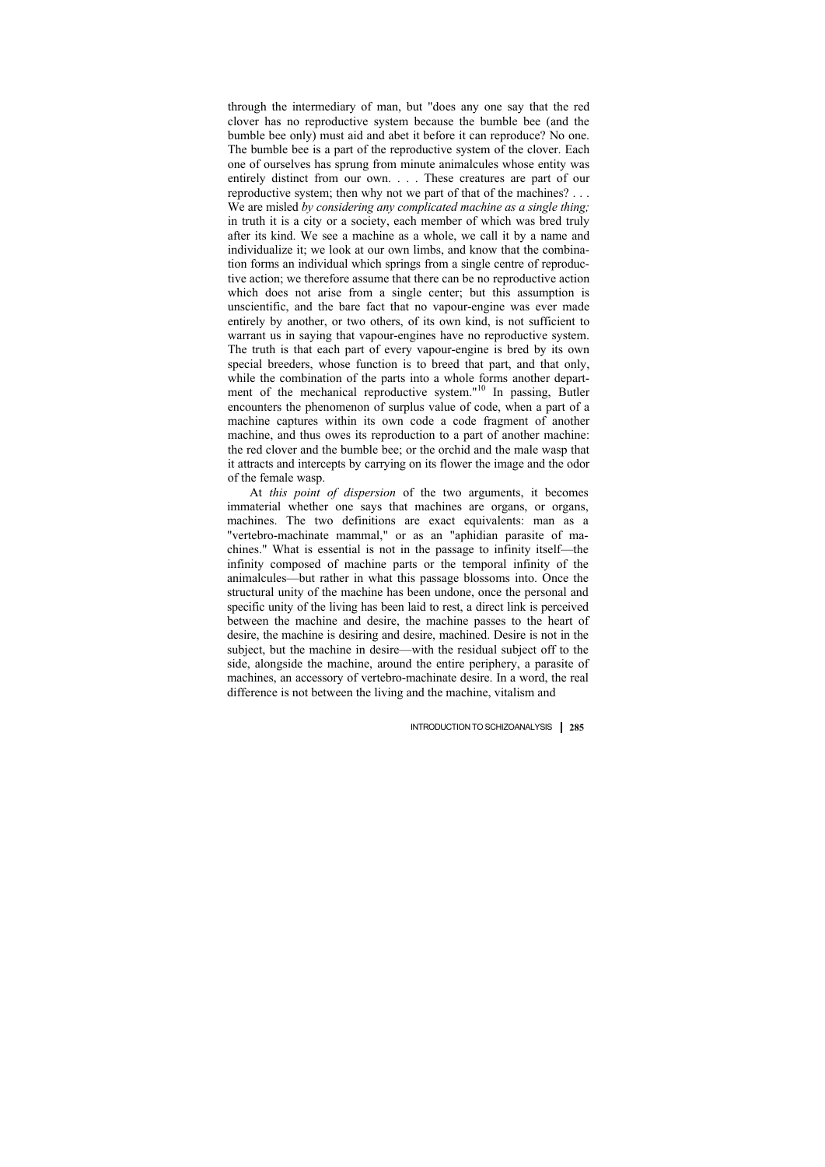through the intermediary of man, but "does any one say that the red clover has no reproductive system because the bumble bee (and the bumble bee only) must aid and abet it before it can reproduce? No one. The bumble bee is a part of the reproductive system of the clover. Each one of ourselves has sprung from minute animalcules whose entity was entirely distinct from our own. . . . These creatures are part of our reproductive system; then why not we part of that of the machines? . . . We are misled *by considering any complicated machine as a single thing;*  in truth it is a city or a society, each member of which was bred truly after its kind. We see a machine as a whole, we call it by a name and individualize it; we look at our own limbs, and know that the combination forms an individual which springs from a single centre of reproductive action; we therefore assume that there can be no reproductive action which does not arise from a single center; but this assumption is unscientific, and the bare fact that no vapour-engine was ever made entirely by another, or two others, of its own kind, is not sufficient to warrant us in saying that vapour-engines have no reproductive system. The truth is that each part of every vapour-engine is bred by its own special breeders, whose function is to breed that part, and that only, while the combination of the parts into a whole forms another department of the mechanical reproductive system."<sup>10</sup> In passing, Butler encounters the phenomenon of surplus value of code, when a part of a machine captures within its own code a code fragment of another machine, and thus owes its reproduction to a part of another machine: the red clover and the bumble bee; or the orchid and the male wasp that it attracts and intercepts by carrying on its flower the image and the odor of the female wasp.

At *this point of dispersion* of the two arguments, it becomes immaterial whether one says that machines are organs, or organs, machines. The two definitions are exact equivalents: man as a "vertebro-machinate mammal," or as an "aphidian parasite of machines." What is essential is not in the passage to infinity itself—the infinity composed of machine parts or the temporal infinity of the animalcules—but rather in what this passage blossoms into. Once the structural unity of the machine has been undone, once the personal and specific unity of the living has been laid to rest, a direct link is perceived between the machine and desire, the machine passes to the heart of desire, the machine is desiring and desire, machined. Desire is not in the subject, but the machine in desire—with the residual subject off to the side, alongside the machine, around the entire periphery, a parasite of machines, an accessory of vertebro-machinate desire. In a word, the real difference is not between the living and the machine, vitalism and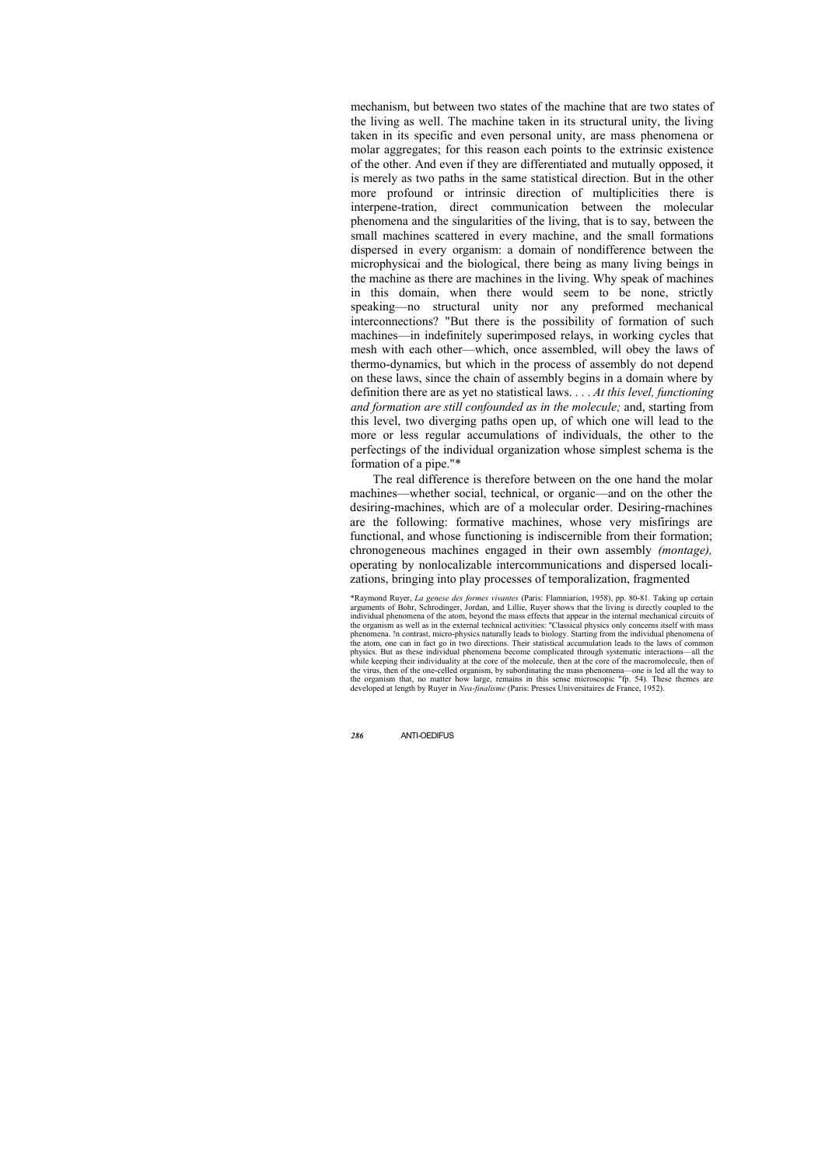mechanism, but between two states of the machine that are two states of the living as well. The machine taken in its structural unity, the living taken in its specific and even personal unity, are mass phenomena or molar aggregates; for this reason each points to the extrinsic existence of the other. And even if they are differentiated and mutually opposed, it is merely as two paths in the same statistical direction. But in the other more profound or intrinsic direction of multiplicities there is interpene-tration, direct communication between the molecular phenomena and the singularities of the living, that is to say, between the small machines scattered in every machine, and the small formations dispersed in every organism: a domain of nondifference between the microphysicai and the biological, there being as many living beings in the machine as there are machines in the living. Why speak of machines in this domain, when there would seem to be none, strictly speaking—no structural unity nor any preformed mechanical interconnections? "But there is the possibility of formation of such machines—in indefinitely superimposed relays, in working cycles that mesh with each other—which, once assembled, will obey the laws of thermo-dynamics, but which in the process of assembly do not depend on these laws, since the chain of assembly begins in a domain where by definition there are as yet no statistical laws. . . . *At this level, functioning and formation are still confounded as in the molecule;* and, starting from this level, two diverging paths open up, of which one will lead to the more or less regular accumulations of individuals, the other to the perfectings of the individual organization whose simplest schema is the formation of a pipe."\*

The real difference is therefore between on the one hand the molar machines—whether social, technical, or organic—and on the other the desiring-machines, which are of a molecular order. Desiring-rnachines are the following: formative machines, whose very misfirings are functional, and whose functioning is indiscernible from their formation; chronogeneous machines engaged in their own assembly *(montage),*  operating by nonlocalizable intercommunications and dispersed localizations, bringing into play processes of temporalization, fragmented

\*Raymond Ruyer, *La genese des formes vivantes* (Paris: Flamniarion, 1958), pp. 80-81. Taking up certain arguments of Bohr, Schrodinger, Jordan, and Lillie, Ruyer shows that the living is directly coupled to the individual phenomena of the atom, beyond the mass effects that appear in the internal mechanical circuits of<br>the organism as well as in the external technical activities: "Classical physics only concerns itself with mass<br>p the atom, one can in fact go in two directions. Their statistical accumulation leads to the laws of common physics. But as these individual phonoman become complicated through systematic interactions, all the physics. But as these individual phenomena become complicated through systematic interactions while keeping their individuality at the core of the molecule, then at the core of the macromolecule, then of the virus, then of the one-celled organism, by subordinating the mass phenomena—one is led all the way to the organism that no matter how large remains in this sense microscopic "fp. 54). These themes are the organism that, no matter how large, remains in this sense microscopic "fp. 54). These themes are developed at length by Ruyer in *Nea-finalisme* (Paris: Presses Universitaires de France, 1952).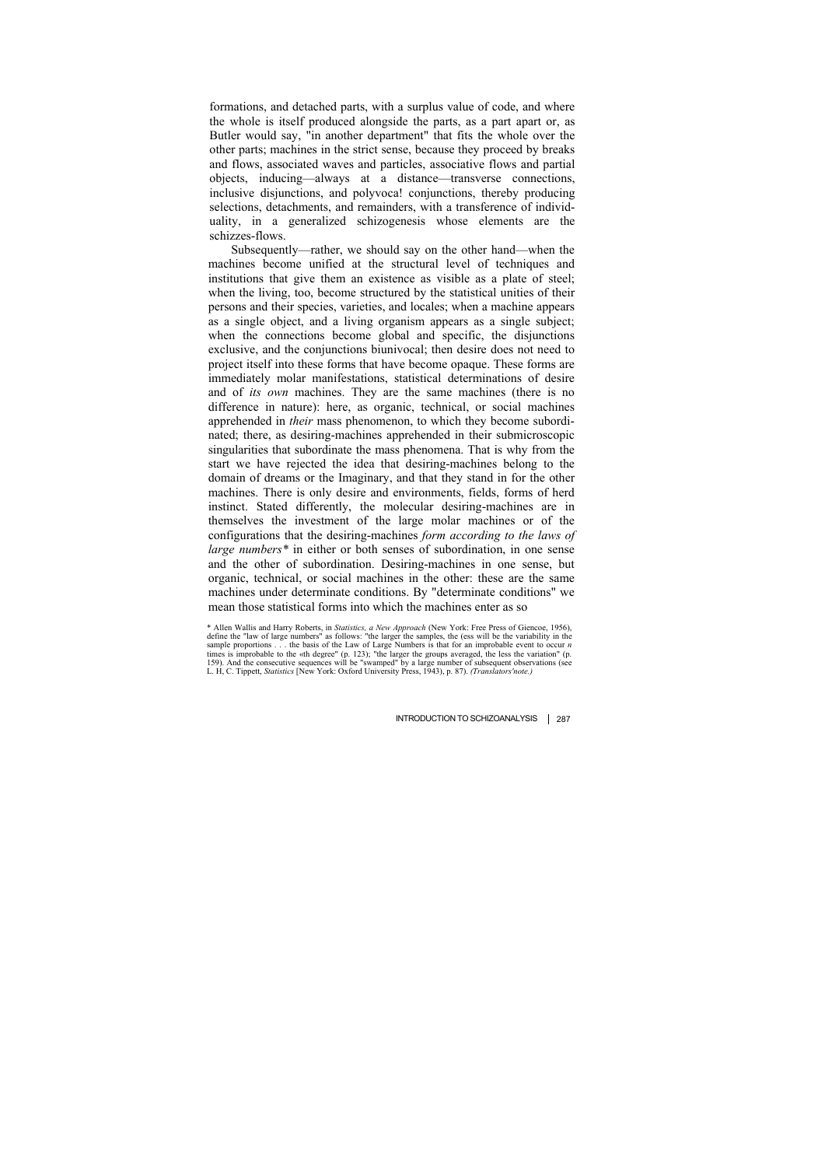formations, and detached parts, with a surplus value of code, and where the whole is itself produced alongside the parts, as a part apart or, as Butler would say, "in another department" that fits the whole over the other parts; machines in the strict sense, because they proceed by breaks and flows, associated waves and particles, associative flows and partial objects, inducing—always at a distance—transverse connections, inclusive disjunctions, and polyvoca! conjunctions, thereby producing selections, detachments, and remainders, with a transference of individuality, in a generalized schizogenesis whose elements are the schizzes-flows.

Subsequently—rather, we should say on the other hand—when the machines become unified at the structural level of techniques and institutions that give them an existence as visible as a plate of steel; when the living, too, become structured by the statistical unities of their persons and their species, varieties, and locales; when a machine appears as a single object, and a living organism appears as a single subject; when the connections become global and specific, the disjunctions exclusive, and the conjunctions biunivocal; then desire does not need to project itself into these forms that have become opaque. These forms are immediately molar manifestations, statistical determinations of desire and of *its own* machines. They are the same machines (there is no difference in nature): here, as organic, technical, or social machines apprehended in *their* mass phenomenon, to which they become subordinated; there, as desiring-machines apprehended in their submicroscopic singularities that subordinate the mass phenomena. That is why from the start we have rejected the idea that desiring-machines belong to the domain of dreams or the Imaginary, and that they stand in for the other machines. There is only desire and environments, fields, forms of herd instinct. Stated differently, the molecular desiring-machines are in themselves the investment of the large molar machines or of the configurations that the desiring-machines *form according to the laws of large numbers\** in either or both senses of subordination, in one sense and the other of subordination. Desiring-machines in one sense, but organic, technical, or social machines in the other: these are the same machines under determinate conditions. By "determinate conditions" we mean those statistical forms into which the machines enter as so

\* Allen Wallis and Harry Roberts, in *Statistics, a New Approach* (New York: Free Press of Giencoe, 1956), define the "law of large numbers" as follows: "the larger the sample, the (ess will be the variability in the samp L. H, C. Tippett, *Statistics* [New York: Oxford University Press, 1943), p. 87). *(Translators'note.)*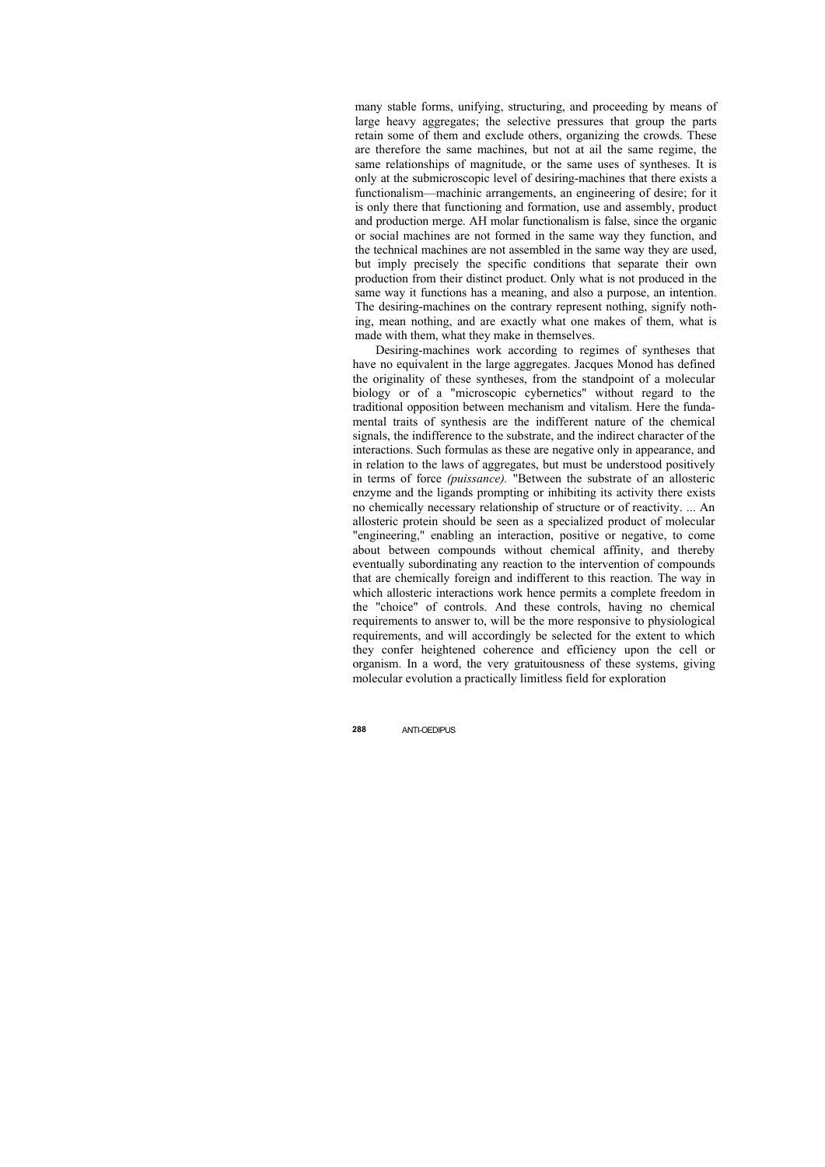many stable forms, unifying, structuring, and proceeding by means of large heavy aggregates; the selective pressures that group the parts retain some of them and exclude others, organizing the crowds. These are therefore the same machines, but not at ail the same regime, the same relationships of magnitude, or the same uses of syntheses. It is only at the submicroscopic level of desiring-machines that there exists a functionalism—machinic arrangements, an engineering of desire; for it is only there that functioning and formation, use and assembly, product and production merge. AH molar functionalism is false, since the organic or social machines are not formed in the same way they function, and the technical machines are not assembled in the same way they are used, but imply precisely the specific conditions that separate their own production from their distinct product. Only what is not produced in the same way it functions has a meaning, and also a purpose, an intention. The desiring-machines on the contrary represent nothing, signify nothing, mean nothing, and are exactly what one makes of them, what is made with them, what they make in themselves.

Desiring-machines work according to regimes of syntheses that have no equivalent in the large aggregates. Jacques Monod has defined the originality of these syntheses, from the standpoint of a molecular biology or of a "microscopic cybernetics" without regard to the traditional opposition between mechanism and vitalism. Here the fundamental traits of synthesis are the indifferent nature of the chemical signals, the indifference to the substrate, and the indirect character of the interactions. Such formulas as these are negative only in appearance, and in relation to the laws of aggregates, but must be understood positively in terms of force *(puissance).* "Between the substrate of an allosteric enzyme and the ligands prompting or inhibiting its activity there exists no chemically necessary relationship of structure or of reactivity. ... An allosteric protein should be seen as a specialized product of molecular "engineering," enabling an interaction, positive or negative, to come about between compounds without chemical affinity, and thereby eventually subordinating any reaction to the intervention of compounds that are chemically foreign and indifferent to this reaction. The way in which allosteric interactions work hence permits a complete freedom in the "choice" of controls. And these controls, having no chemical requirements to answer to, will be the more responsive to physiological requirements, and will accordingly be selected for the extent to which they confer heightened coherence and efficiency upon the cell or organism. In a word, the very gratuitousness of these systems, giving molecular evolution a practically limitless field for exploration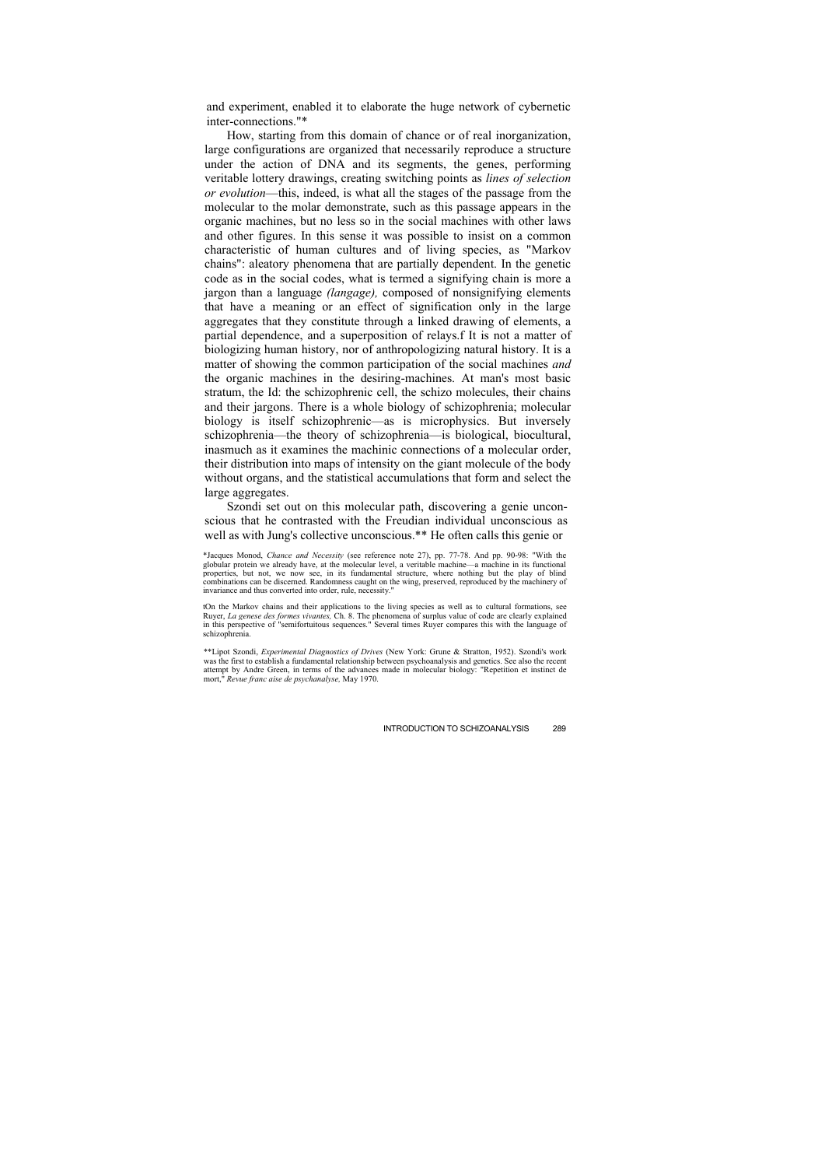and experiment, enabled it to elaborate the huge network of cybernetic inter-connections."\*

How, starting from this domain of chance or of real inorganization, large configurations are organized that necessarily reproduce a structure under the action of DNA and its segments, the genes, performing veritable lottery drawings, creating switching points as *lines of selection or evolution*—this, indeed, is what all the stages of the passage from the molecular to the molar demonstrate, such as this passage appears in the organic machines, but no less so in the social machines with other laws and other figures. In this sense it was possible to insist on a common characteristic of human cultures and of living species, as "Markov chains": aleatory phenomena that are partially dependent. In the genetic code as in the social codes, what is termed a signifying chain is more a jargon than a language *(langage),* composed of nonsignifying elements that have a meaning or an effect of signification only in the large aggregates that they constitute through a linked drawing of elements, a partial dependence, and a superposition of relays.f It is not a matter of biologizing human history, nor of anthropologizing natural history. It is a matter of showing the common participation of the social machines *and*  the organic machines in the desiring-machines. At man's most basic stratum, the Id: the schizophrenic cell, the schizo molecules, their chains and their jargons. There is a whole biology of schizophrenia; molecular biology is itself schizophrenic—as is microphysics. But inversely schizophrenia—the theory of schizophrenia—is biological, biocultural, inasmuch as it examines the machinic connections of a molecular order, their distribution into maps of intensity on the giant molecule of the body without organs, and the statistical accumulations that form and select the large aggregates.

Szondi set out on this molecular path, discovering a genie unconscious that he contrasted with the Freudian individual unconscious as well as with Jung's collective unconscious.\*\* He often calls this genie or

\*Jacques Monod, *Chance and Necessity* (see reference note 27), pp. 77-78. And pp. 90-98: "With the globular protein we already have, at the molecular level, are proportional proportional proportional proportional proporti combinations can be discerned. Randomness caught on the wing, preserved, reproduced by the machinery of invariance and thus converted into order, rule, necessity."

tOn the Markov chains and their applications to the living species as well as to cultural formations, see Ruyer, *La genese des formes vivantes,* Ch. 8. The phenomena of surplus value of code are clearly explained in this perspective of "semifortuitous sequences." Several times Ruyer compares this with the language of schizophrenia.

\*\*Lipot Szondi, *Experimental Diagnostics of Drives* (New York: Grune & Stratton, 1952). Szondi's work was the first to establish a fundamental relationship between psychoanalysis and genetics. See also the recent attempt by Andre Green, in terms of the advances made in molecular biology: "Repetition et instinct de mort," *Revue franc aise de psychanalyse,* May 1970.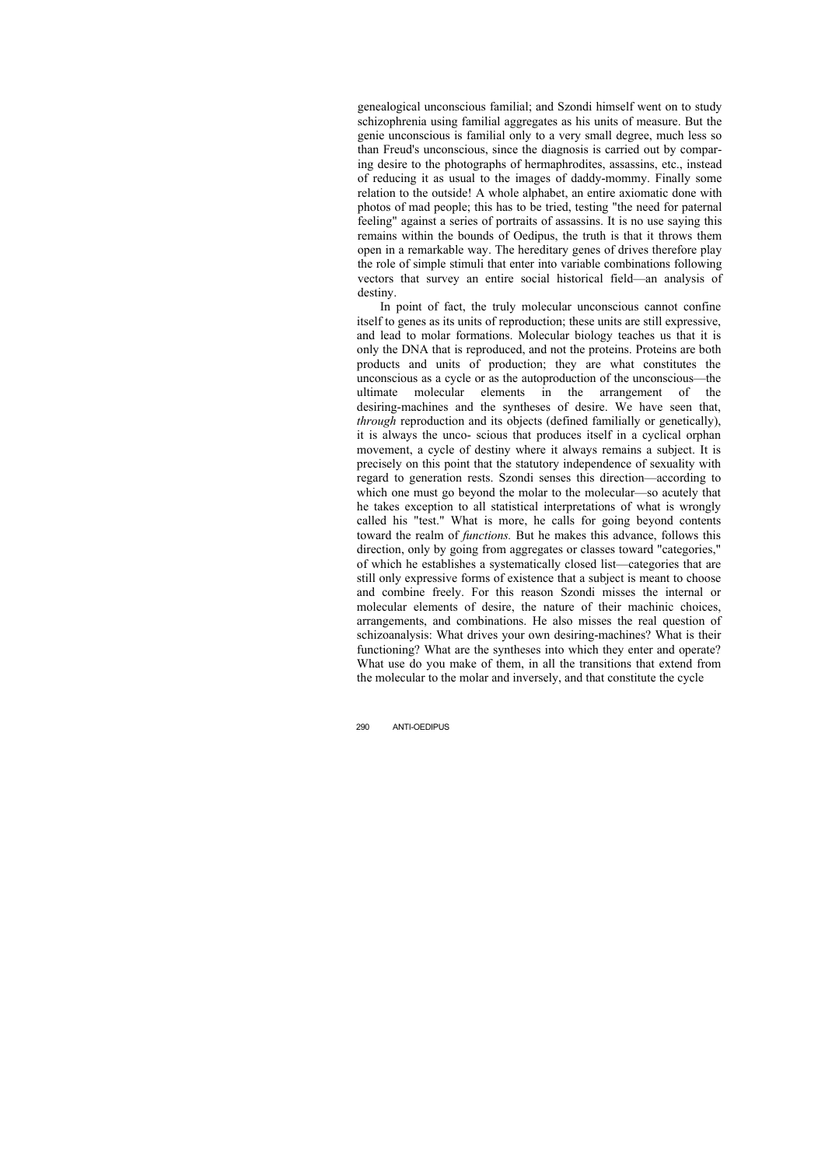genealogical unconscious familial; and Szondi himself went on to study schizophrenia using familial aggregates as his units of measure. But the genie unconscious is familial only to a very small degree, much less so than Freud's unconscious, since the diagnosis is carried out by comparing desire to the photographs of hermaphrodites, assassins, etc., instead of reducing it as usual to the images of daddy-mommy. Finally some relation to the outside! A whole alphabet, an entire axiomatic done with photos of mad people; this has to be tried, testing "the need for paternal feeling" against a series of portraits of assassins. It is no use saying this remains within the bounds of Oedipus, the truth is that it throws them open in a remarkable way. The hereditary genes of drives therefore play the role of simple stimuli that enter into variable combinations following vectors that survey an entire social historical field—an analysis of destiny.

In point of fact, the truly molecular unconscious cannot confine itself to genes as its units of reproduction; these units are still expressive, and lead to molar formations. Molecular biology teaches us that it is only the DNA that is reproduced, and not the proteins. Proteins are both products and units of production; they are what constitutes the unconscious as a cycle or as the autoproduction of the unconscious—the ultimate molecular elements in the arrangement of the desiring-machines and the syntheses of desire. We have seen that, *through* reproduction and its objects (defined familially or genetically), it is always the unco- scious that produces itself in a cyclical orphan movement, a cycle of destiny where it always remains a subject. It is precisely on this point that the statutory independence of sexuality with regard to generation rests. Szondi senses this direction—according to which one must go beyond the molar to the molecular—so acutely that he takes exception to all statistical interpretations of what is wrongly called his "test." What is more, he calls for going beyond contents toward the realm of *functions.* But he makes this advance, follows this direction, only by going from aggregates or classes toward "categories," of which he establishes a systematically closed list—categories that are still only expressive forms of existence that a subject is meant to choose and combine freely. For this reason Szondi misses the internal or molecular elements of desire, the nature of their machinic choices, arrangements, and combinations. He also misses the real question of schizoanalysis: What drives your own desiring-machines? What is their functioning? What are the syntheses into which they enter and operate? What use do you make of them, in all the transitions that extend from the molecular to the molar and inversely, and that constitute the cycle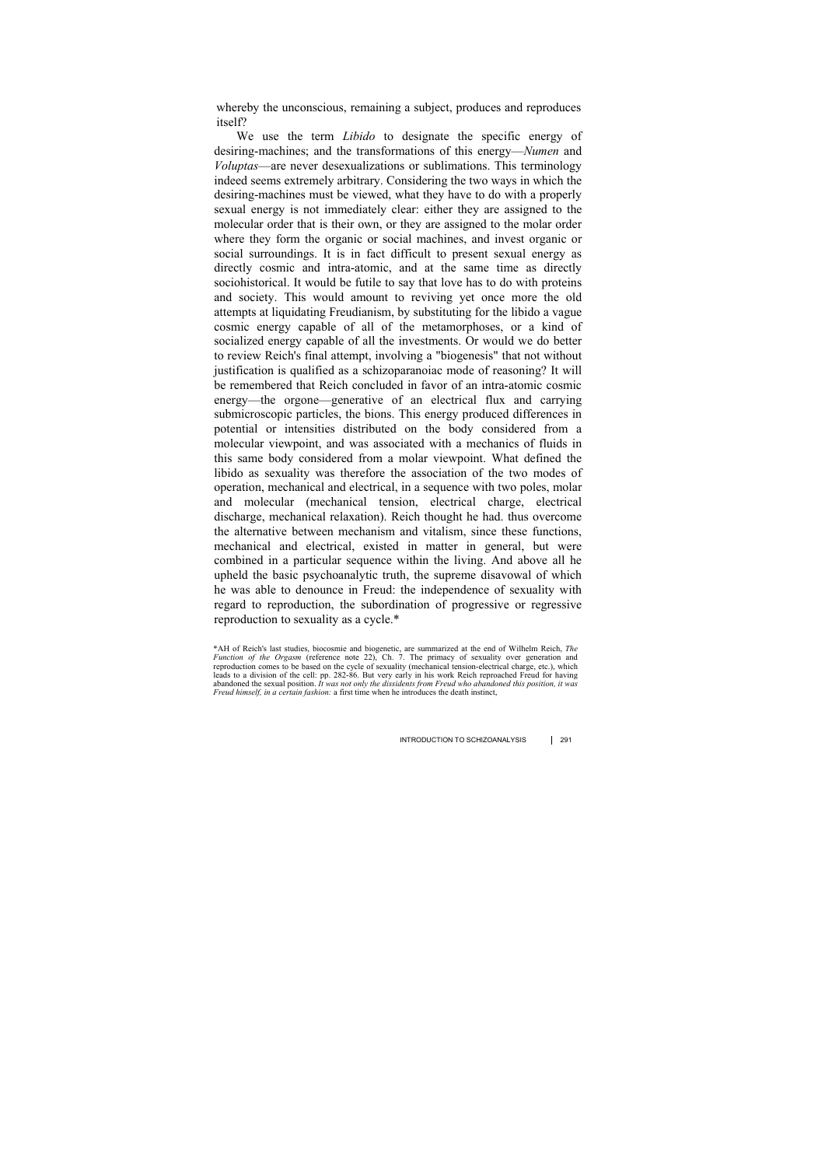whereby the unconscious, remaining a subject, produces and reproduces itself?

We use the term *Libido* to designate the specific energy of desiring-machines; and the transformations of this energy—*Numen* and *Voluptas*—are never desexualizations or sublimations. This terminology indeed seems extremely arbitrary. Considering the two ways in which the desiring-machines must be viewed, what they have to do with a properly sexual energy is not immediately clear: either they are assigned to the molecular order that is their own, or they are assigned to the molar order where they form the organic or social machines, and invest organic or social surroundings. It is in fact difficult to present sexual energy as directly cosmic and intra-atomic, and at the same time as directly sociohistorical. It would be futile to say that love has to do with proteins and society. This would amount to reviving yet once more the old attempts at liquidating Freudianism, by substituting for the libido a vague cosmic energy capable of all of the metamorphoses, or a kind of socialized energy capable of all the investments. Or would we do better to review Reich's final attempt, involving a "biogenesis" that not without justification is qualified as a schizoparanoiac mode of reasoning? It will be remembered that Reich concluded in favor of an intra-atomic cosmic energy—the orgone—generative of an electrical flux and carrying submicroscopic particles, the bions. This energy produced differences in potential or intensities distributed on the body considered from a molecular viewpoint, and was associated with a mechanics of fluids in this same body considered from a molar viewpoint. What defined the libido as sexuality was therefore the association of the two modes of operation, mechanical and electrical, in a sequence with two poles, molar and molecular (mechanical tension, electrical charge, electrical discharge, mechanical relaxation). Reich thought he had. thus overcome the alternative between mechanism and vitalism, since these functions, mechanical and electrical, existed in matter in general, but were combined in a particular sequence within the living. And above all he upheld the basic psychoanalytic truth, the supreme disavowal of which he was able to denounce in Freud: the independence of sexuality with regard to reproduction, the subordination of progressive or regressive reproduction to sexuality as a cycle.\*

<sup>\*</sup>AH of Reich's last studies, biocosmie and biogenetic, are summarized at the end of Wilhelm Reich, *The Tunction of the Orgasm* (reference note 22), Ch. 7. The primacy of sexuality over generation and reproduction comes t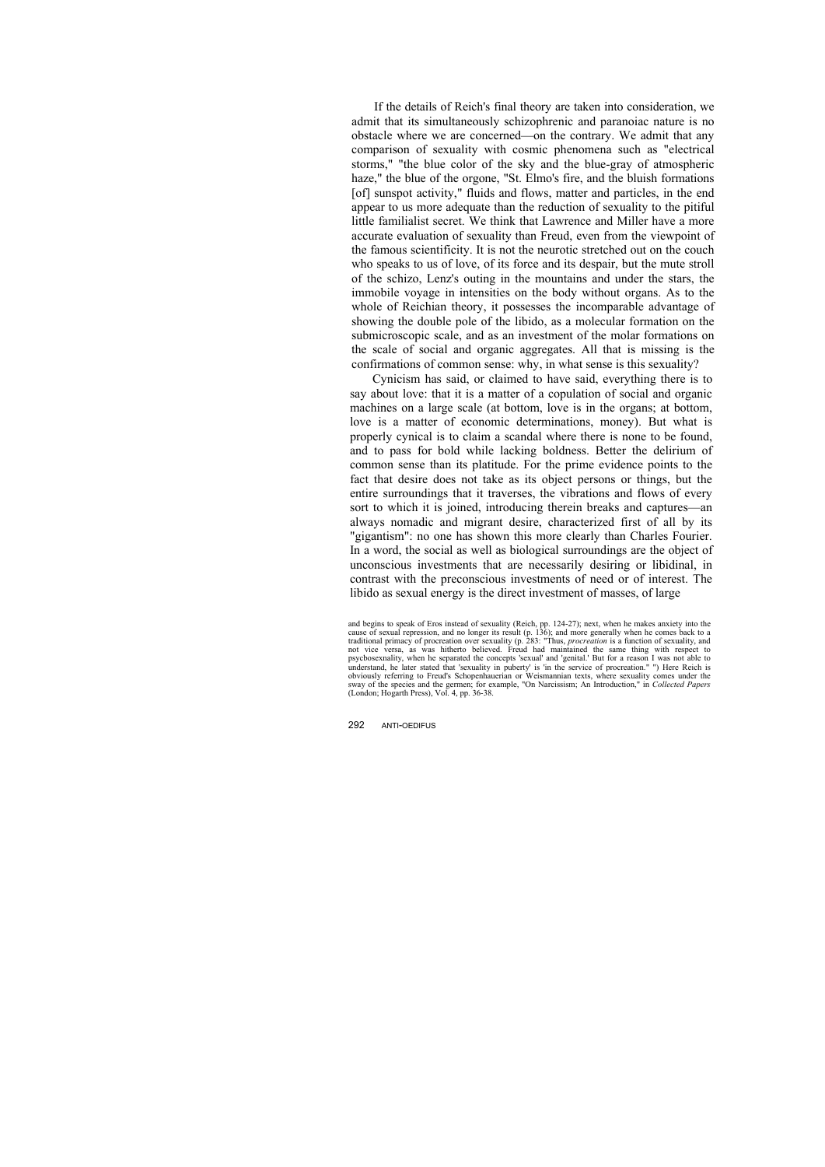If the details of Reich's final theory are taken into consideration, we admit that its simultaneously schizophrenic and paranoiac nature is no obstacle where we are concerned—on the contrary. We admit that any comparison of sexuality with cosmic phenomena such as "electrical storms," "the blue color of the sky and the blue-gray of atmospheric haze," the blue of the orgone, "St. Elmo's fire, and the bluish formations [of] sunspot activity," fluids and flows, matter and particles, in the end appear to us more adequate than the reduction of sexuality to the pitiful little familialist secret. We think that Lawrence and Miller have a more accurate evaluation of sexuality than Freud, even from the viewpoint of the famous scientificity. It is not the neurotic stretched out on the couch who speaks to us of love, of its force and its despair, but the mute stroll of the schizo, Lenz's outing in the mountains and under the stars, the immobile voyage in intensities on the body without organs. As to the whole of Reichian theory, it possesses the incomparable advantage of showing the double pole of the libido, as a molecular formation on the submicroscopic scale, and as an investment of the molar formations on the scale of social and organic aggregates. All that is missing is the confirmations of common sense: why, in what sense is this sexuality?

Cynicism has said, or claimed to have said, everything there is to say about love: that it is a matter of a copulation of social and organic machines on a large scale (at bottom, love is in the organs; at bottom, love is a matter of economic determinations, money). But what is properly cynical is to claim a scandal where there is none to be found, and to pass for bold while lacking boldness. Better the delirium of common sense than its platitude. For the prime evidence points to the fact that desire does not take as its object persons or things, but the entire surroundings that it traverses, the vibrations and flows of every sort to which it is joined, introducing therein breaks and captures—an always nomadic and migrant desire, characterized first of all by its "gigantism": no one has shown this more clearly than Charles Fourier. In a word, the social as well as biological surroundings are the object of unconscious investments that are necessarily desiring or libidinal, in contrast with the preconscious investments of need or of interest. The libido as sexual energy is the direct investment of masses, of large

and begins to speak of Eros instead of sexuality (Reich, pp. 124-27); next, when he makes anxiety into the cause of sexual repression, and no longer its result (p. 136); and more generally when he comes back to a traditio understand, he later stated that 'sexuality in puberty' is 'in the service of procreation." ") Here Reich is obviously referring to Freud's Schopenhauerian or Weismannian texts, where sexuality comes under the sway of the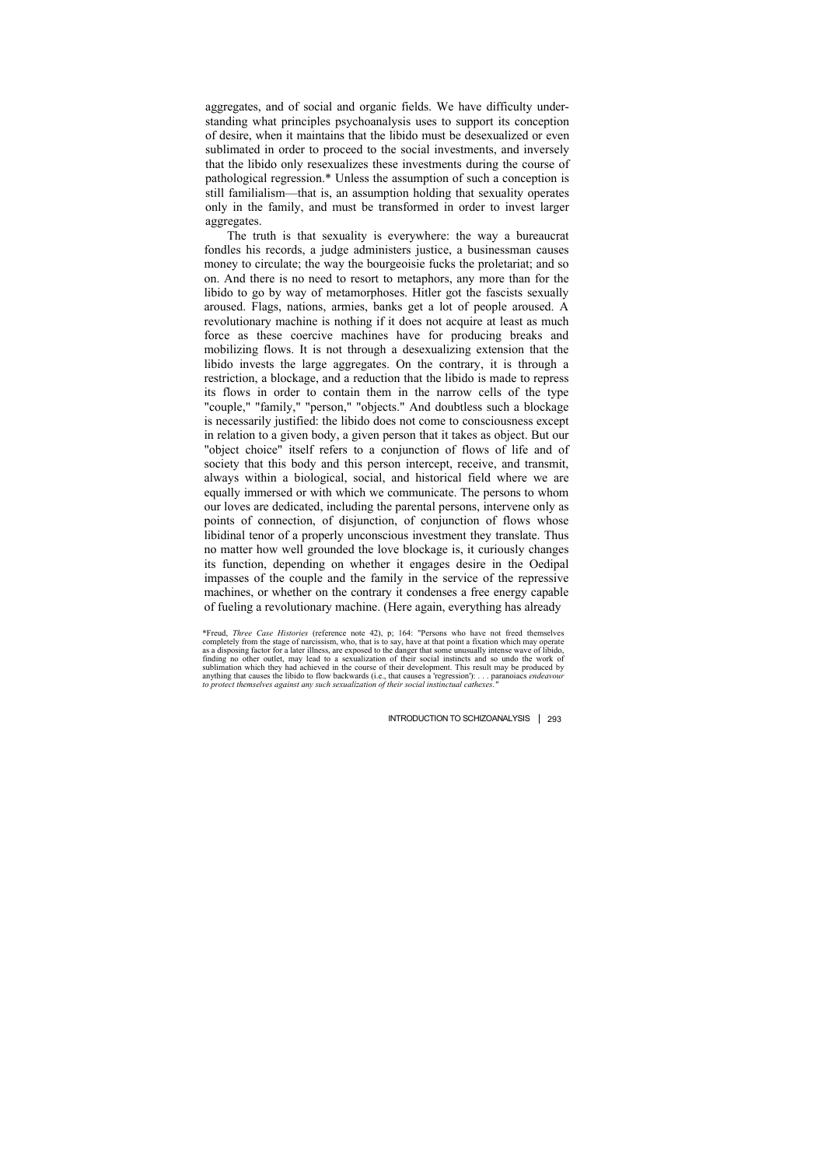aggregates, and of social and organic fields. We have difficulty understanding what principles psychoanalysis uses to support its conception of desire, when it maintains that the libido must be desexualized or even sublimated in order to proceed to the social investments, and inversely that the libido only resexualizes these investments during the course of pathological regression.\* Unless the assumption of such a conception is still familialism—that is, an assumption holding that sexuality operates only in the family, and must be transformed in order to invest larger aggregates.

The truth is that sexuality is everywhere: the way a bureaucrat fondles his records, a judge administers justice, a businessman causes money to circulate; the way the bourgeoisie fucks the proletariat; and so on. And there is no need to resort to metaphors, any more than for the libido to go by way of metamorphoses. Hitler got the fascists sexually aroused. Flags, nations, armies, banks get a lot of people aroused. A revolutionary machine is nothing if it does not acquire at least as much force as these coercive machines have for producing breaks and mobilizing flows. It is not through a desexualizing extension that the libido invests the large aggregates. On the contrary, it is through a restriction, a blockage, and a reduction that the libido is made to repress its flows in order to contain them in the narrow cells of the type "couple," "family," "person," "objects." And doubtless such a blockage is necessarily justified: the libido does not come to consciousness except in relation to a given body, a given person that it takes as object. But our "object choice" itself refers to a conjunction of flows of life and of society that this body and this person intercept, receive, and transmit, always within a biological, social, and historical field where we are equally immersed or with which we communicate. The persons to whom our loves are dedicated, including the parental persons, intervene only as points of connection, of disjunction, of conjunction of flows whose libidinal tenor of a properly unconscious investment they translate. Thus no matter how well grounded the love blockage is, it curiously changes its function, depending on whether it engages desire in the Oedipal impasses of the couple and the family in the service of the repressive machines, or whether on the contrary it condenses a free energy capable of fueling a revolutionary machine. (Here again, everything has already

<sup>\*</sup>Freud, *Three Case Histories* (reference note 42), p; 164: "Persons who have not freed themselves<br>completely from the stage of narcissism, who, that is to say, have at that point a fixation which may operate<br>as a disposin finding no other outlet, may lead to a sexualization of their social instincts and so undo the work of sublimation which they had achieved in the course of their development. This result may be produced by anything that c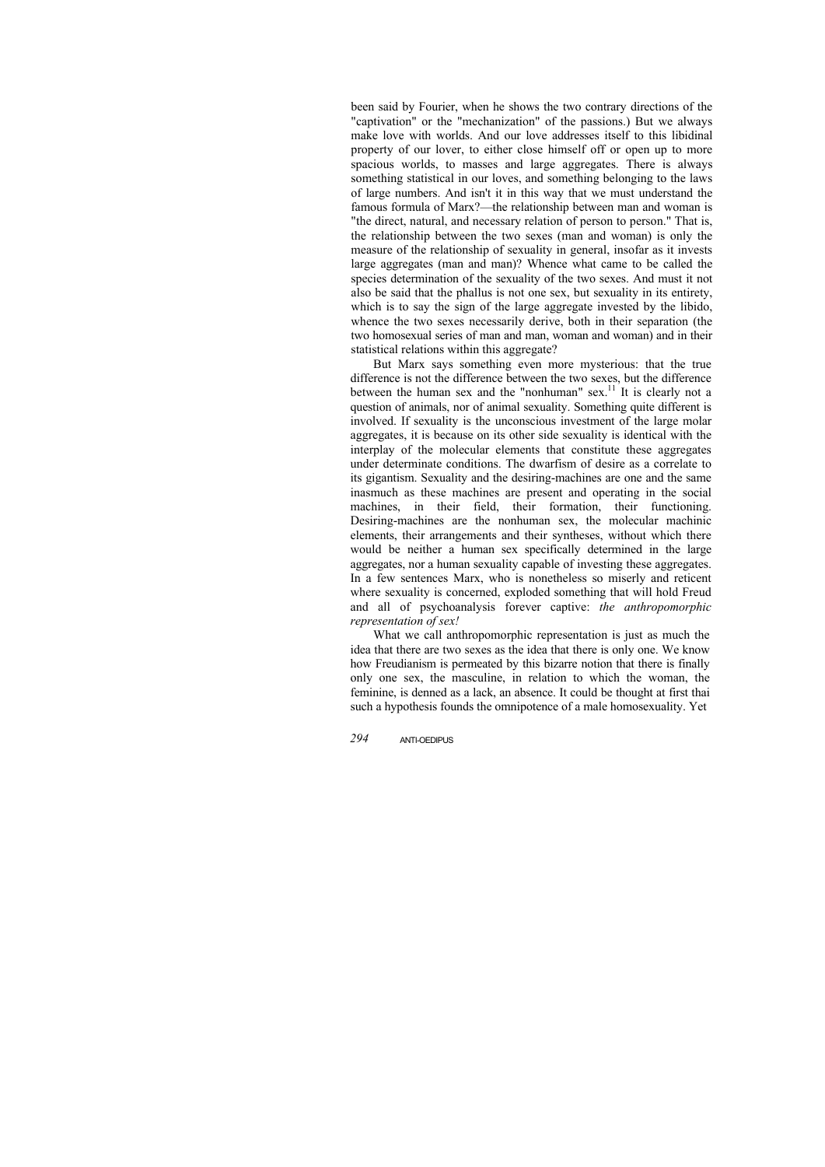been said by Fourier, when he shows the two contrary directions of the "captivation" or the "mechanization" of the passions.) But we always make love with worlds. And our love addresses itself to this libidinal property of our lover, to either close himself off or open up to more spacious worlds, to masses and large aggregates. There is always something statistical in our loves, and something belonging to the laws of large numbers. And isn't it in this way that we must understand the famous formula of Marx?—the relationship between man and woman is "the direct, natural, and necessary relation of person to person." That is, the relationship between the two sexes (man and woman) is only the measure of the relationship of sexuality in general, insofar as it invests large aggregates (man and man)? Whence what came to be called the species determination of the sexuality of the two sexes. And must it not also be said that the phallus is not one sex, but sexuality in its entirety, which is to say the sign of the large aggregate invested by the libido, whence the two sexes necessarily derive, both in their separation (the two homosexual series of man and man, woman and woman) and in their statistical relations within this aggregate?

But Marx says something even more mysterious: that the true difference is not the difference between the two sexes, but the difference between the human sex and the "nonhuman" sex.<sup>11</sup> It is clearly not a question of animals, nor of animal sexuality. Something quite different is involved. If sexuality is the unconscious investment of the large molar aggregates, it is because on its other side sexuality is identical with the interplay of the molecular elements that constitute these aggregates under determinate conditions. The dwarfism of desire as a correlate to its gigantism. Sexuality and the desiring-machines are one and the same inasmuch as these machines are present and operating in the social machines, in their field, their formation, their functioning. Desiring-machines are the nonhuman sex, the molecular machinic elements, their arrangements and their syntheses, without which there would be neither a human sex specifically determined in the large aggregates, nor a human sexuality capable of investing these aggregates. In a few sentences Marx, who is nonetheless so miserly and reticent where sexuality is concerned, exploded something that will hold Freud and all of psychoanalysis forever captive: *the anthropomorphic representation of sex!*

What we call anthropomorphic representation is just as much the idea that there are two sexes as the idea that there is only one. We know how Freudianism is permeated by this bizarre notion that there is finally only one sex, the masculine, in relation to which the woman, the feminine, is denned as a lack, an absence. It could be thought at first thai such a hypothesis founds the omnipotence of a male homosexuality. Yet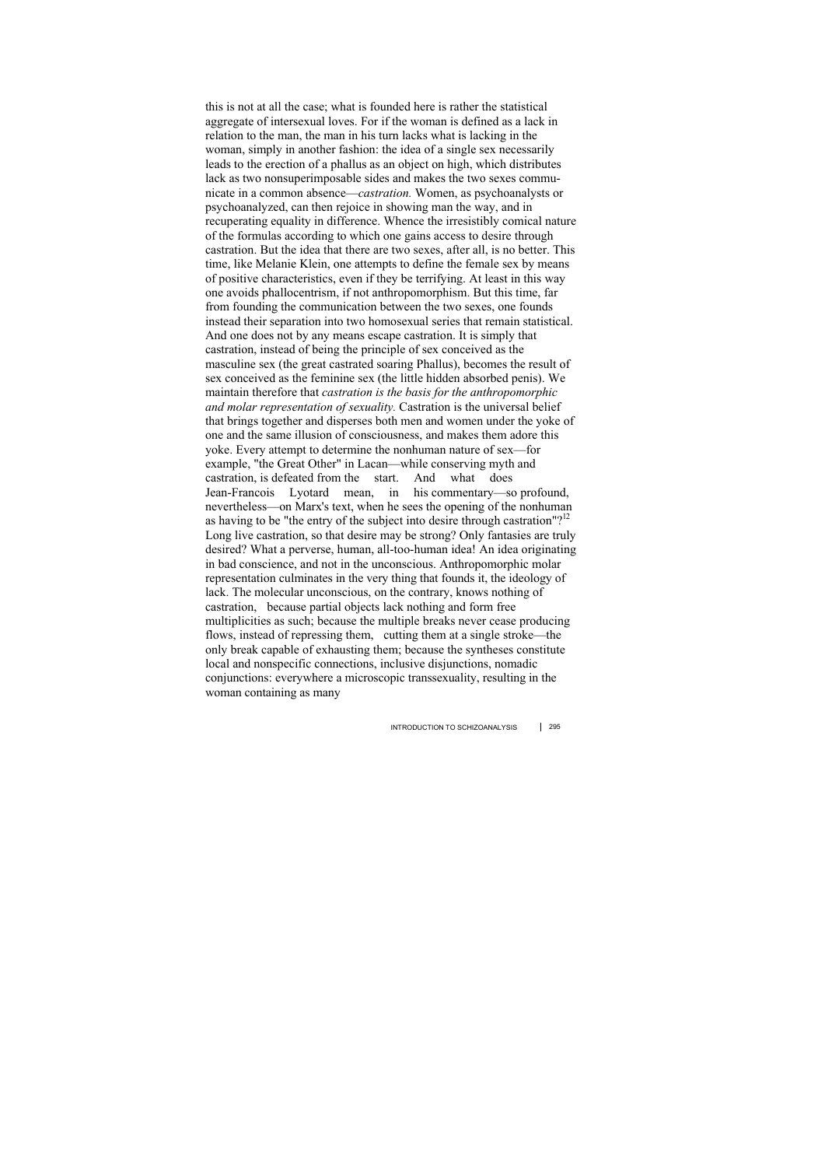this is not at all the case; what is founded here is rather the statistical aggregate of intersexual loves. For if the woman is defined as a lack in relation to the man, the man in his turn lacks what is lacking in the woman, simply in another fashion: the idea of a single sex necessarily leads to the erection of a phallus as an object on high, which distributes lack as two nonsuperimposable sides and makes the two sexes communicate in a common absence—*castration.* Women, as psychoanalysts or psychoanalyzed, can then rejoice in showing man the way, and in recuperating equality in difference. Whence the irresistibly comical nature of the formulas according to which one gains access to desire through castration. But the idea that there are two sexes, after all, is no better. This time, like Melanie Klein, one attempts to define the female sex by means of positive characteristics, even if they be terrifying. At least in this way one avoids phallocentrism, if not anthropomorphism. But this time, far from founding the communication between the two sexes, one founds instead their separation into two homosexual series that remain statistical. And one does not by any means escape castration. It is simply that castration, instead of being the principle of sex conceived as the masculine sex (the great castrated soaring Phallus), becomes the result of sex conceived as the feminine sex (the little hidden absorbed penis). We maintain therefore that *castration is the basis for the anthropomorphic and molar representation of sexuality.* Castration is the universal belief that brings together and disperses both men and women under the yoke of one and the same illusion of consciousness, and makes them adore this yoke. Every attempt to determine the nonhuman nature of sex—for example, "the Great Other" in Lacan—while conserving myth and castration, is defeated from the start. And what does Jean-Francois Lyotard mean, in his commentary—so profound, nevertheless—on Marx's text, when he sees the opening of the nonhuman as having to be "the entry of the subject into desire through castration"?<sup>12</sup> Long live castration, so that desire may be strong? Only fantasies are truly desired? What a perverse, human, all-too-human idea! An idea originating in bad conscience, and not in the unconscious. Anthropomorphic molar representation culminates in the very thing that founds it, the ideology of lack. The molecular unconscious, on the contrary, knows nothing of castration, because partial objects lack nothing and form free multiplicities as such; because the multiple breaks never cease producing flows, instead of repressing them, cutting them at a single stroke—the only break capable of exhausting them; because the syntheses constitute local and nonspecific connections, inclusive disjunctions, nomadic conjunctions: everywhere a microscopic transsexuality, resulting in the woman containing as many